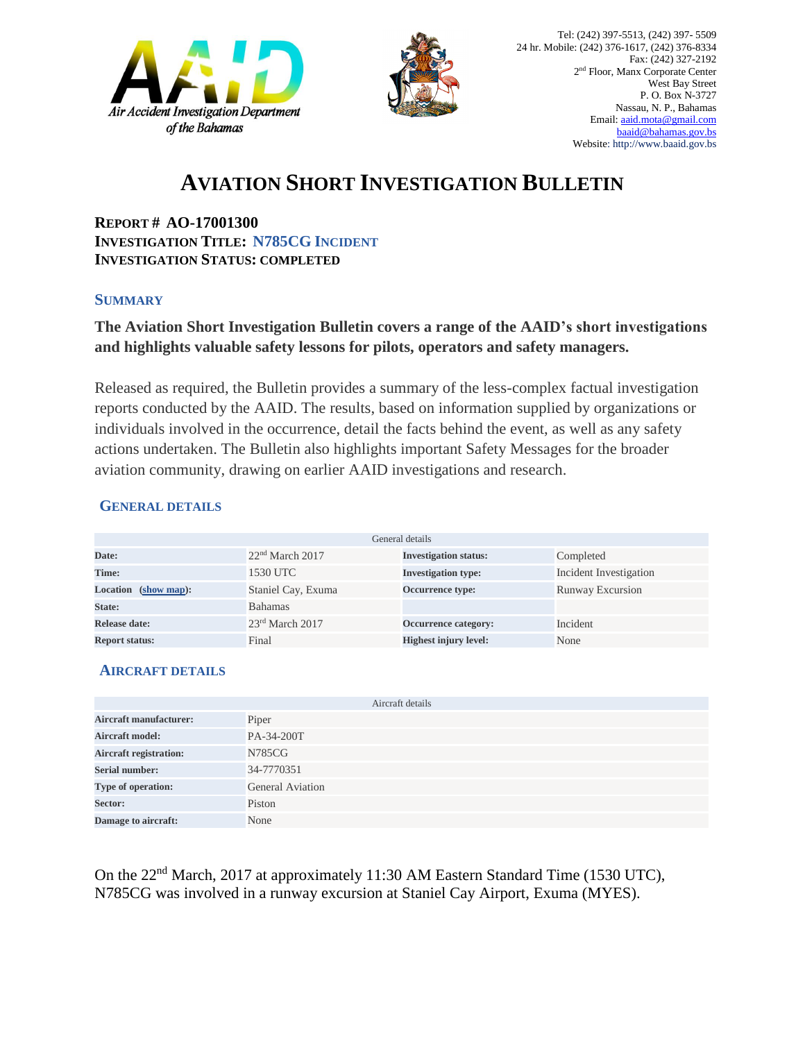



# **AVIATION SHORT INVESTIGATION BULLETIN**

**REPORT # AO-17001300 INVESTIGATION TITLE: N785CG INCIDENT INVESTIGATION STATUS: COMPLETED**

#### **SUMMARY**

### **The Aviation Short Investigation Bulletin covers a range of the AAID's short investigations and highlights valuable safety lessons for pilots, operators and safety managers.**

Released as required, the Bulletin provides a summary of the less-complex factual investigation reports conducted by the AAID. The results, based on information supplied by organizations or individuals involved in the occurrence, detail the facts behind the event, as well as any safety actions undertaken. The Bulletin also highlights important Safety Messages for the broader aviation community, drawing on earlier AAID investigations and research.

### **GENERAL DETAILS**

| General details         |                             |                              |                        |
|-------------------------|-----------------------------|------------------------------|------------------------|
| Date:                   | 22 <sup>nd</sup> March 2017 | <b>Investigation status:</b> | Completed              |
| Time:                   | 1530 UTC                    | <b>Investigation type:</b>   | Incident Investigation |
| Location<br>(show map): | Staniel Cay, Exuma          | Occurrence type:             | Runway Excursion       |
| State:                  | <b>Bahamas</b>              |                              |                        |
| Release date:           | $23rd$ March 2017           | Occurrence category:         | Incident               |
| <b>Report status:</b>   | Final                       | <b>Highest injury level:</b> | None                   |

### **AIRCRAFT DETAILS**

| Aircraft details              |                         |  |
|-------------------------------|-------------------------|--|
| <b>Aircraft manufacturer:</b> | Piper                   |  |
| <b>Aircraft model:</b>        | PA-34-200T              |  |
| <b>Aircraft registration:</b> | N785CG                  |  |
| <b>Serial number:</b>         | 34-7770351              |  |
| Type of operation:            | <b>General Aviation</b> |  |
| Sector:                       | Piston                  |  |
| Damage to aircraft:           | None                    |  |

On the 22nd March, 2017 at approximately 11:30 AM Eastern Standard Time (1530 UTC), N785CG was involved in a runway excursion at Staniel Cay Airport, Exuma (MYES).